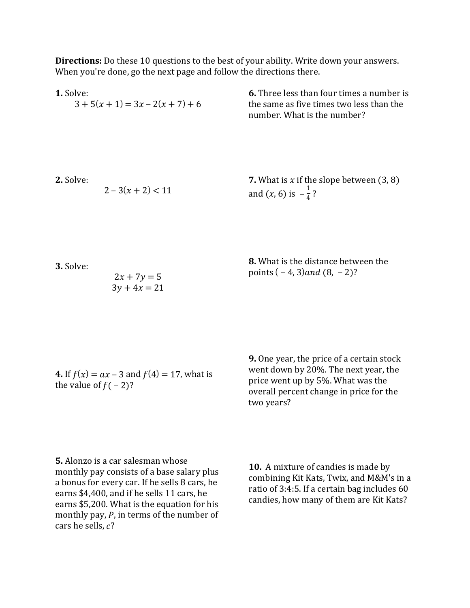**Directions:** Do these 10 questions to the best of your ability. Write down your answers. When you're done, go the next page and follow the directions there.

| 1. Solve: | $3 + 5(x + 1) = 3x - 2(x + 7) + 6$ | <b>6.</b> Three less than four times a number is<br>the same as five times two less than the<br>number. What is the number? |
|-----------|------------------------------------|-----------------------------------------------------------------------------------------------------------------------------|
| 2. Solve: | $2-3(x+2) < 11$                    | <b>7.</b> What is $x$ if the slope between $(3, 8)$<br>and $(x, 6)$ is $-\frac{1}{4}$ ?                                     |
| 3. Solve: | $2x + 7y = 5$<br>$3y + 4x = 21$    | 8. What is the distance between the<br>points $(-4, 3)$ and $(8, -2)$ ?                                                     |
|           |                                    |                                                                                                                             |

**4.** If  $f(x) = ax - 3$  and  $f(4) = 17$ , what is the value of  $f(-2)$ ?

**9.** One year, the price of a certain stock went down by  $20%$ . The next year, the price went up by  $5\%$ . What was the overall percent change in price for the two years?

**5.** Alonzo is a car salesman whose monthly pay consists of a base salary plus a bonus for every car. If he sells 8 cars, he earns \$4,400, and if he sells 11 cars, he earns \$5,200. What is the equation for his monthly pay,  $P$ , in terms of the number of cars he sells,  $c$ ?

**10.** A mixture of candies is made by combining Kit Kats, Twix, and M&M's in a ratio of  $3:4:5$ . If a certain bag includes  $60$ candies, how many of them are Kit Kats?